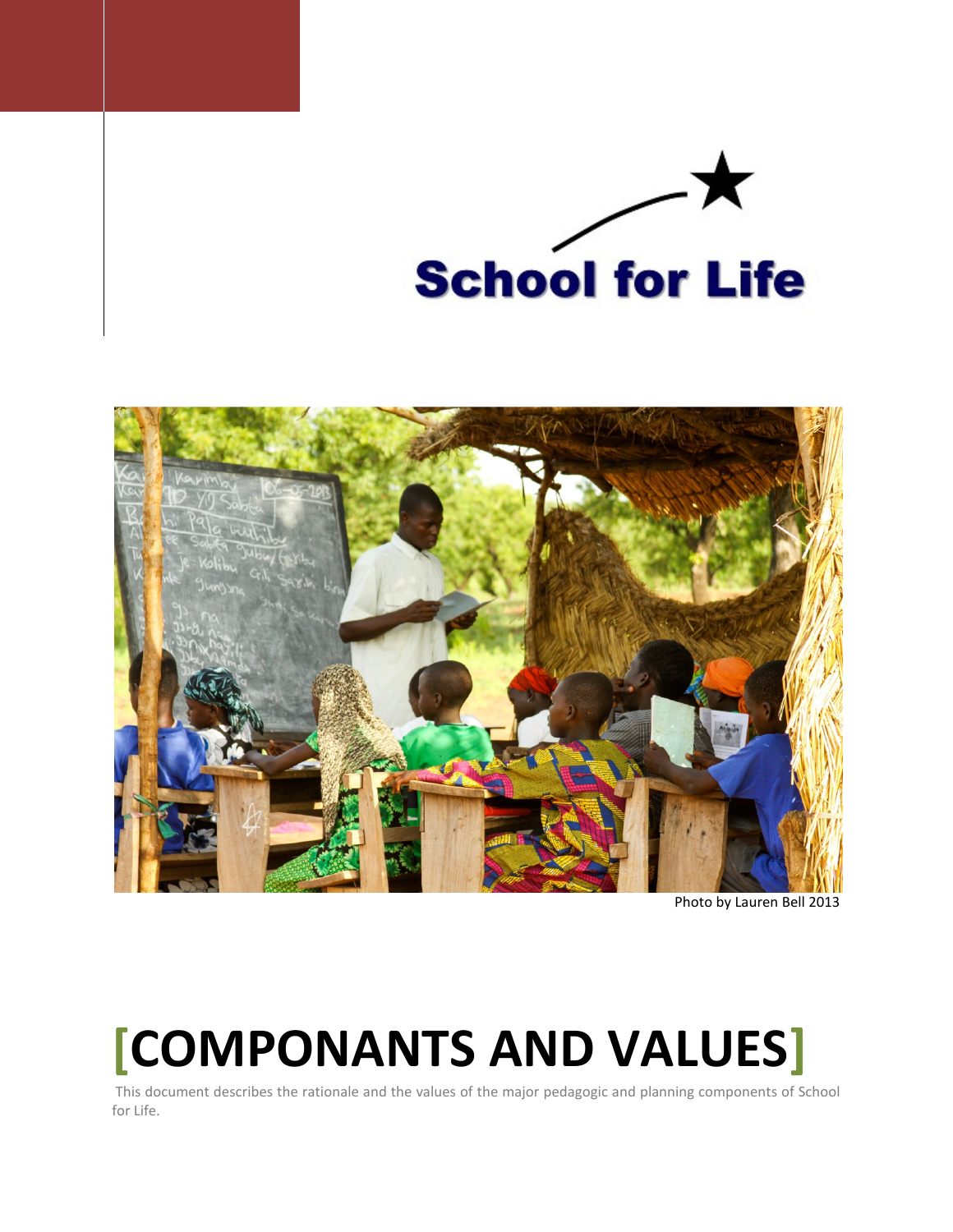



Photo by Lauren Bell 2013

# [COMPONANTS AND VALUES]

 This document describes the rationale and the values of the major pedagogic and planning components of School for Life.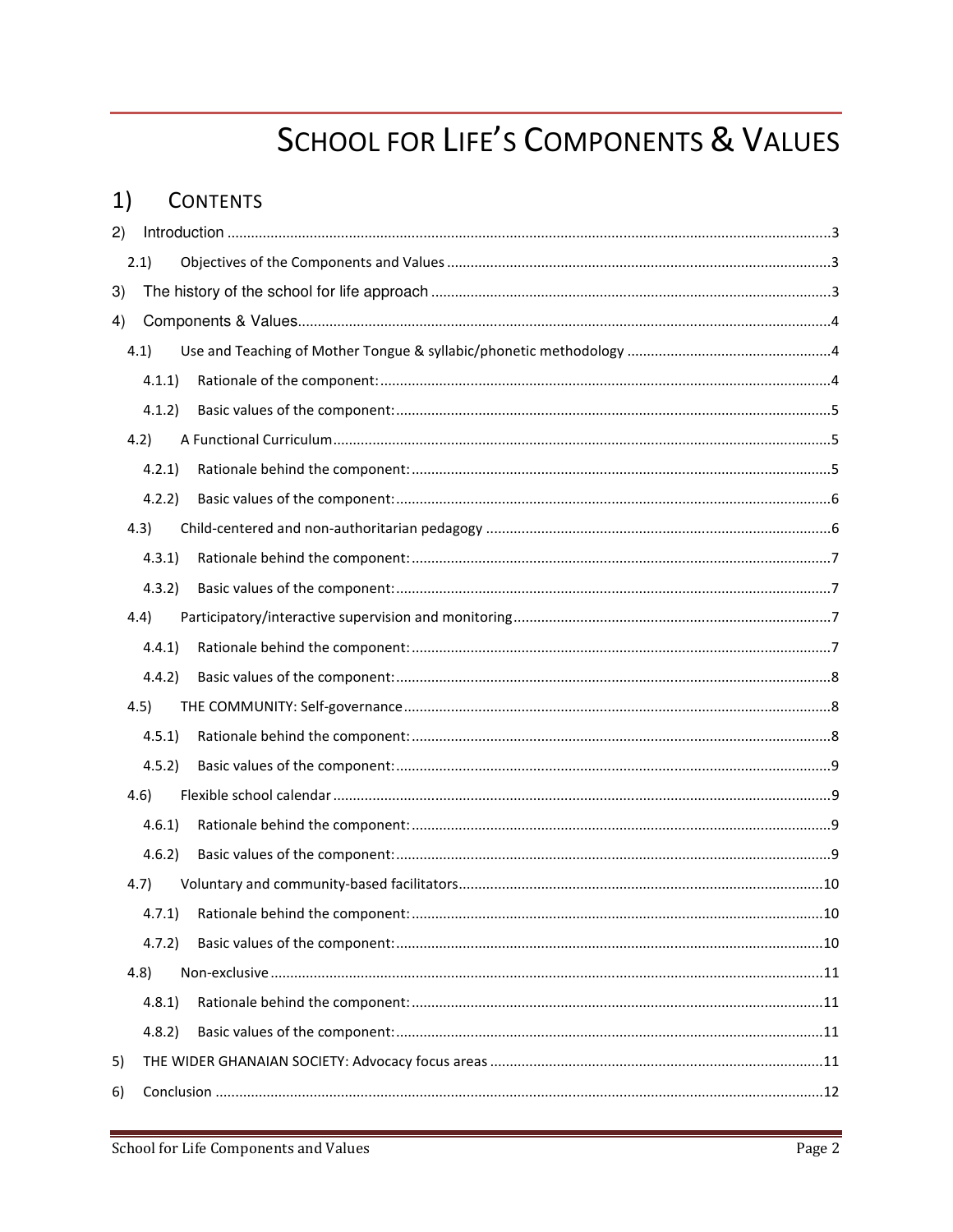# **SCHOOL FOR LIFE'S COMPONENTS & VALUES**

#### $1)$ **CONTENTS**

| 2) |        |    |  |
|----|--------|----|--|
|    | 2.1)   |    |  |
| 3) |        |    |  |
| 4) |        |    |  |
|    | 4.1)   |    |  |
|    | 4.1.1) |    |  |
|    | 4.1.2) |    |  |
|    | 4.2)   |    |  |
|    | 4.2.1  |    |  |
|    | 4.2.2) |    |  |
|    | 4.3)   |    |  |
|    | 4.3.1  |    |  |
|    | 4.3.2  |    |  |
|    | 4.4)   |    |  |
|    | 4.4.1) |    |  |
|    | 4.4.2) |    |  |
|    | 4.5)   |    |  |
|    | 4.5.1  |    |  |
|    | 4.5.2  |    |  |
|    | 4.6)   |    |  |
|    | 4.6.1  |    |  |
|    | 4.6.2  |    |  |
|    | 4.7)   |    |  |
|    |        | 10 |  |
|    | 4.7.2) |    |  |
|    | (4.8)  |    |  |
|    | 4.8.1  |    |  |
|    | 4.8.2  |    |  |
| 5) |        |    |  |
| 6) |        |    |  |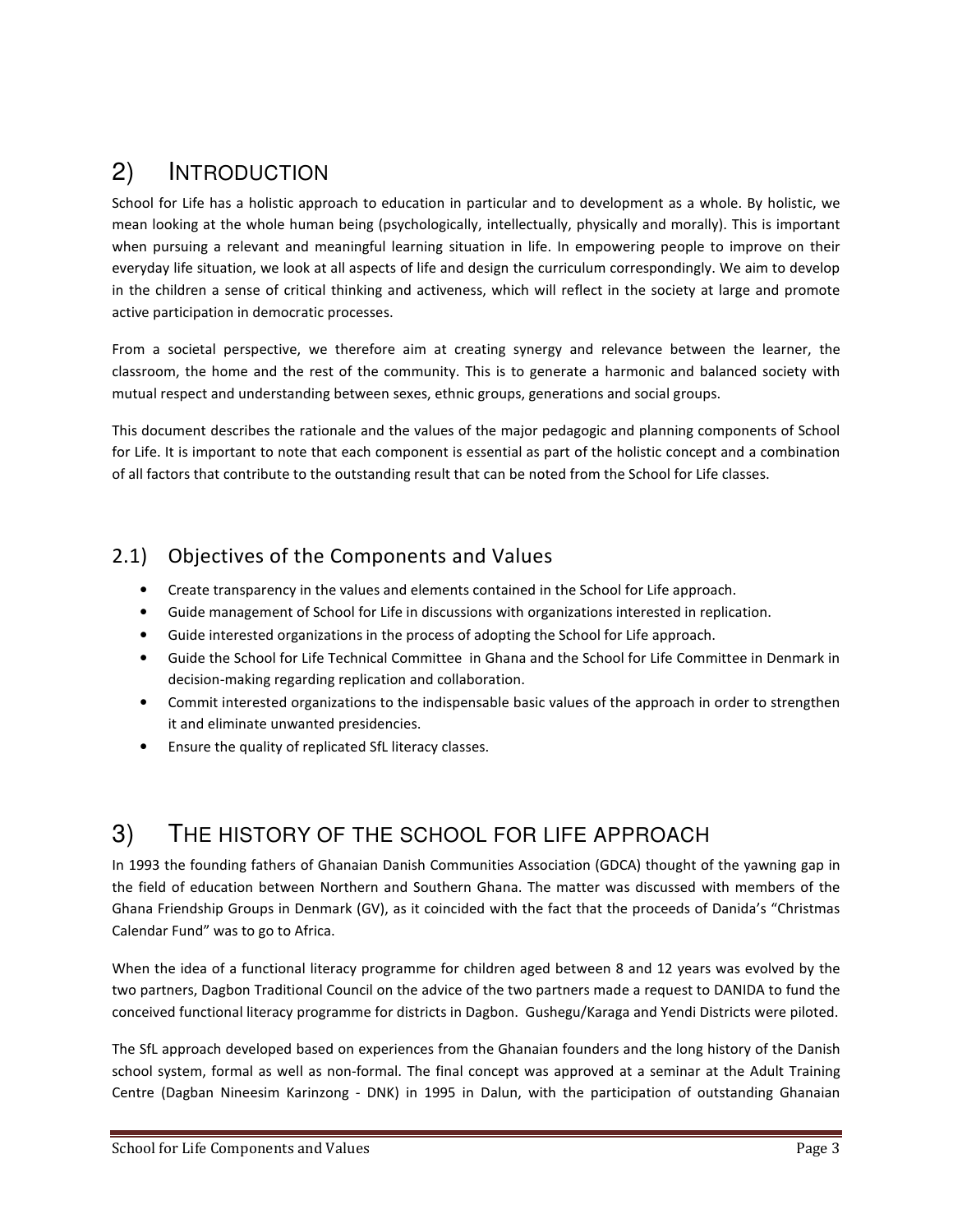# 2) INTRODUCTION

School for Life has a holistic approach to education in particular and to development as a whole. By holistic, we mean looking at the whole human being (psychologically, intellectually, physically and morally). This is important when pursuing a relevant and meaningful learning situation in life. In empowering people to improve on their everyday life situation, we look at all aspects of life and design the curriculum correspondingly. We aim to develop in the children a sense of critical thinking and activeness, which will reflect in the society at large and promote active participation in democratic processes.

From a societal perspective, we therefore aim at creating synergy and relevance between the learner, the classroom, the home and the rest of the community. This is to generate a harmonic and balanced society with mutual respect and understanding between sexes, ethnic groups, generations and social groups.

This document describes the rationale and the values of the major pedagogic and planning components of School for Life. It is important to note that each component is essential as part of the holistic concept and a combination of all factors that contribute to the outstanding result that can be noted from the School for Life classes.

# 2.1) Objectives of the Components and Values

- Create transparency in the values and elements contained in the School for Life approach.
- Guide management of School for Life in discussions with organizations interested in replication.
- Guide interested organizations in the process of adopting the School for Life approach.
- Guide the School for Life Technical Committee in Ghana and the School for Life Committee in Denmark in decision-making regarding replication and collaboration.
- Commit interested organizations to the indispensable basic values of the approach in order to strengthen it and eliminate unwanted presidencies.
- Ensure the quality of replicated SfL literacy classes.

# 3) THE HISTORY OF THE SCHOOL FOR LIFE APPROACH

In 1993 the founding fathers of Ghanaian Danish Communities Association (GDCA) thought of the yawning gap in the field of education between Northern and Southern Ghana. The matter was discussed with members of the Ghana Friendship Groups in Denmark (GV), as it coincided with the fact that the proceeds of Danida's "Christmas Calendar Fund" was to go to Africa.

When the idea of a functional literacy programme for children aged between 8 and 12 years was evolved by the two partners, Dagbon Traditional Council on the advice of the two partners made a request to DANIDA to fund the conceived functional literacy programme for districts in Dagbon. Gushegu/Karaga and Yendi Districts were piloted.

The SfL approach developed based on experiences from the Ghanaian founders and the long history of the Danish school system, formal as well as non-formal. The final concept was approved at a seminar at the Adult Training Centre (Dagban Nineesim Karinzong - DNK) in 1995 in Dalun, with the participation of outstanding Ghanaian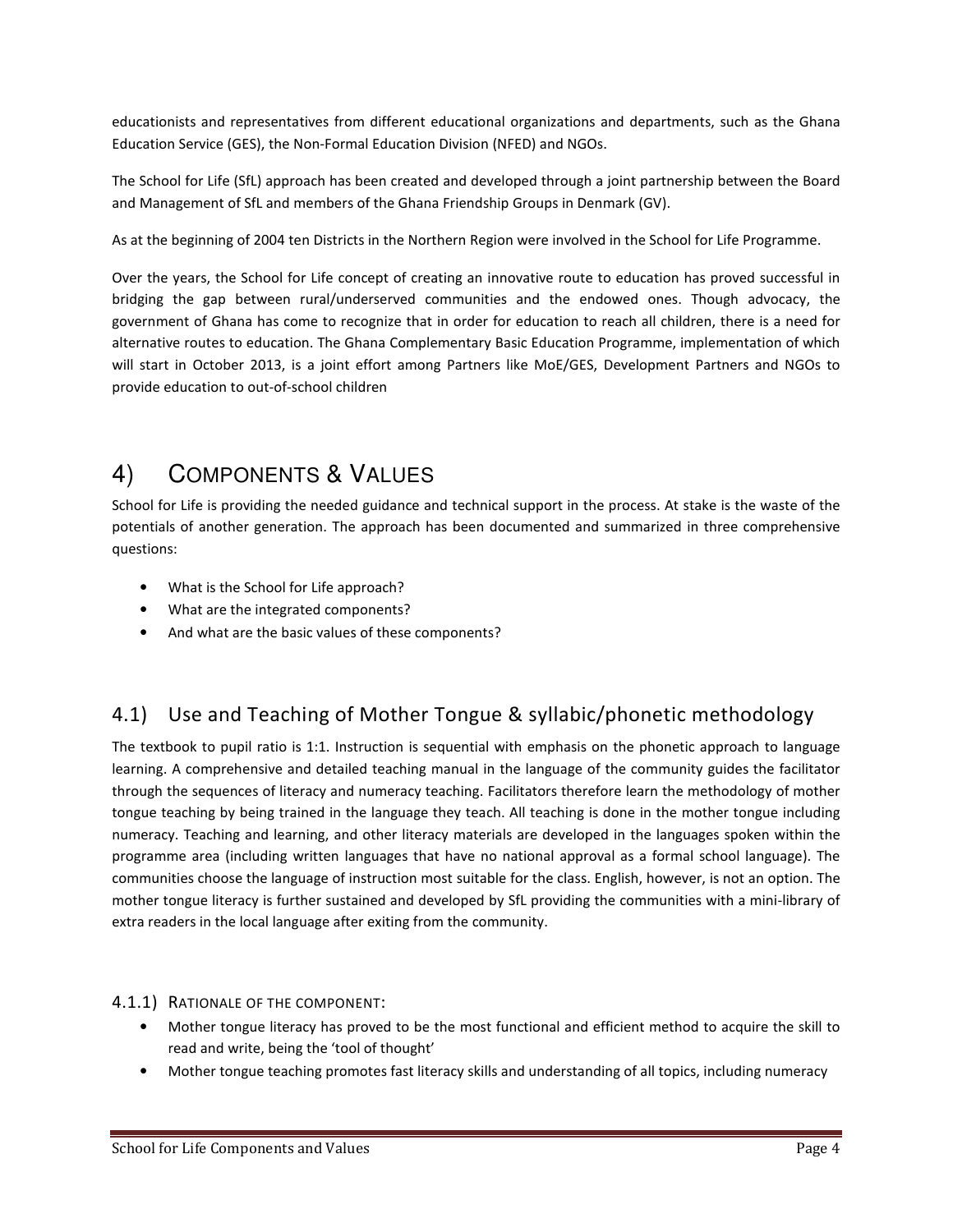educationists and representatives from different educational organizations and departments, such as the Ghana Education Service (GES), the Non-Formal Education Division (NFED) and NGOs.

The School for Life (SfL) approach has been created and developed through a joint partnership between the Board and Management of SfL and members of the Ghana Friendship Groups in Denmark (GV).

As at the beginning of 2004 ten Districts in the Northern Region were involved in the School for Life Programme.

Over the years, the School for Life concept of creating an innovative route to education has proved successful in bridging the gap between rural/underserved communities and the endowed ones. Though advocacy, the government of Ghana has come to recognize that in order for education to reach all children, there is a need for alternative routes to education. The Ghana Complementary Basic Education Programme, implementation of which will start in October 2013, is a joint effort among Partners like MoE/GES, Development Partners and NGOs to provide education to out-of-school children

# 4) COMPONENTS & VALUES

School for Life is providing the needed guidance and technical support in the process. At stake is the waste of the potentials of another generation. The approach has been documented and summarized in three comprehensive questions:

- What is the School for Life approach?
- What are the integrated components?
- And what are the basic values of these components?

# 4.1) Use and Teaching of Mother Tongue & syllabic/phonetic methodology

The textbook to pupil ratio is 1:1. Instruction is sequential with emphasis on the phonetic approach to language learning. A comprehensive and detailed teaching manual in the language of the community guides the facilitator through the sequences of literacy and numeracy teaching. Facilitators therefore learn the methodology of mother tongue teaching by being trained in the language they teach. All teaching is done in the mother tongue including numeracy. Teaching and learning, and other literacy materials are developed in the languages spoken within the programme area (including written languages that have no national approval as a formal school language). The communities choose the language of instruction most suitable for the class. English, however, is not an option. The mother tongue literacy is further sustained and developed by SfL providing the communities with a mini-library of extra readers in the local language after exiting from the community.

#### 4.1.1) RATIONALE OF THE COMPONENT:

- Mother tongue literacy has proved to be the most functional and efficient method to acquire the skill to read and write, being the 'tool of thought'
- Mother tongue teaching promotes fast literacy skills and understanding of all topics, including numeracy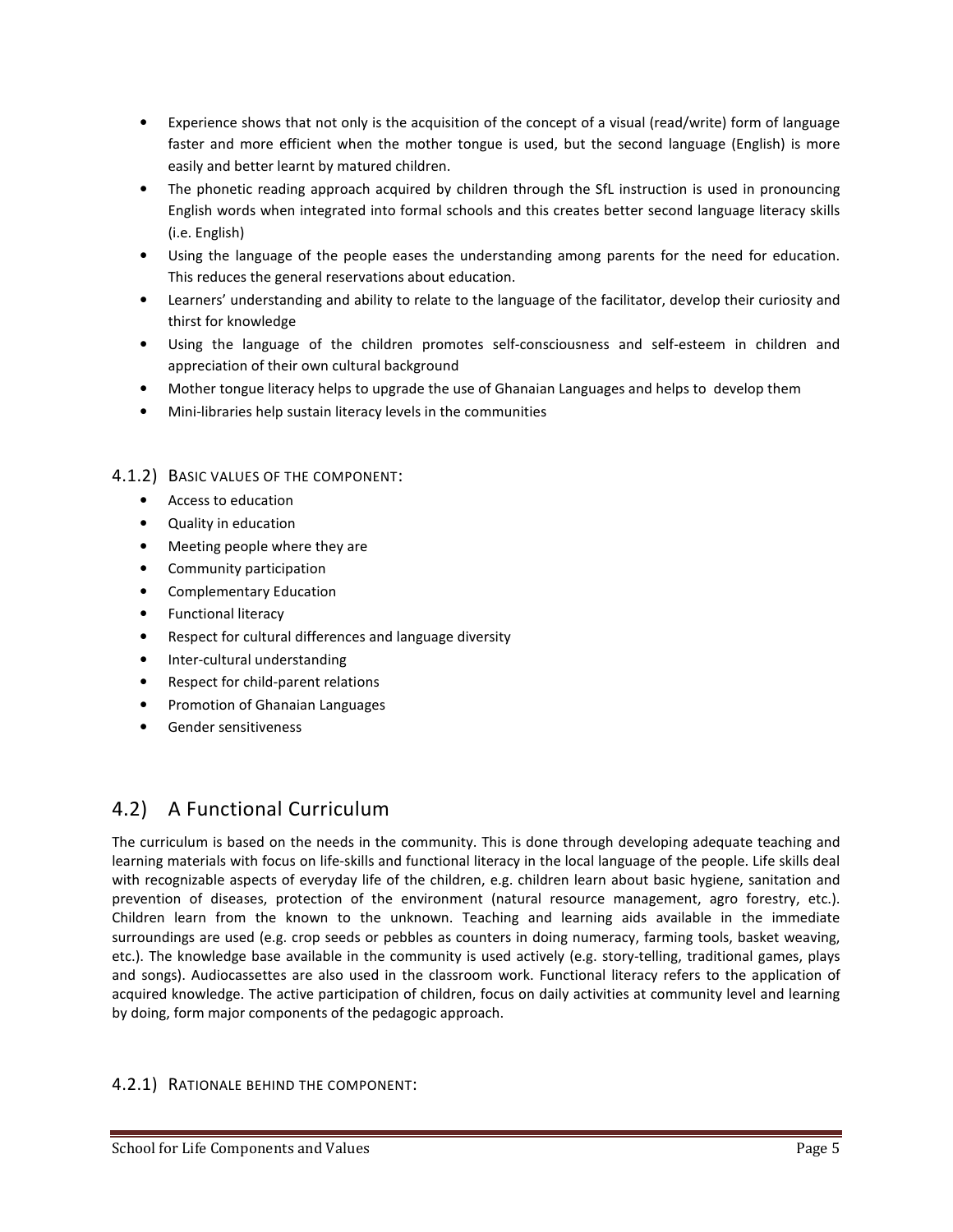- Experience shows that not only is the acquisition of the concept of a visual (read/write) form of language faster and more efficient when the mother tongue is used, but the second language (English) is more easily and better learnt by matured children.
- The phonetic reading approach acquired by children through the SfL instruction is used in pronouncing English words when integrated into formal schools and this creates better second language literacy skills (i.e. English)
- Using the language of the people eases the understanding among parents for the need for education. This reduces the general reservations about education.
- Learners' understanding and ability to relate to the language of the facilitator, develop their curiosity and thirst for knowledge
- Using the language of the children promotes self-consciousness and self-esteem in children and appreciation of their own cultural background
- Mother tongue literacy helps to upgrade the use of Ghanaian Languages and helps to develop them
- Mini-libraries help sustain literacy levels in the communities

#### 4.1.2) BASIC VALUES OF THE COMPONENT:

- Access to education
- Quality in education
- Meeting people where they are
- Community participation
- Complementary Education
- Functional literacy
- Respect for cultural differences and language diversity
- Inter-cultural understanding
- Respect for child-parent relations
- Promotion of Ghanaian Languages
- Gender sensitiveness

# 4.2) A Functional Curriculum

The curriculum is based on the needs in the community. This is done through developing adequate teaching and learning materials with focus on life-skills and functional literacy in the local language of the people. Life skills deal with recognizable aspects of everyday life of the children, e.g. children learn about basic hygiene, sanitation and prevention of diseases, protection of the environment (natural resource management, agro forestry, etc.). Children learn from the known to the unknown. Teaching and learning aids available in the immediate surroundings are used (e.g. crop seeds or pebbles as counters in doing numeracy, farming tools, basket weaving, etc.). The knowledge base available in the community is used actively (e.g. story-telling, traditional games, plays and songs). Audiocassettes are also used in the classroom work. Functional literacy refers to the application of acquired knowledge. The active participation of children, focus on daily activities at community level and learning by doing, form major components of the pedagogic approach.

#### 4.2.1) RATIONALE BEHIND THE COMPONENT: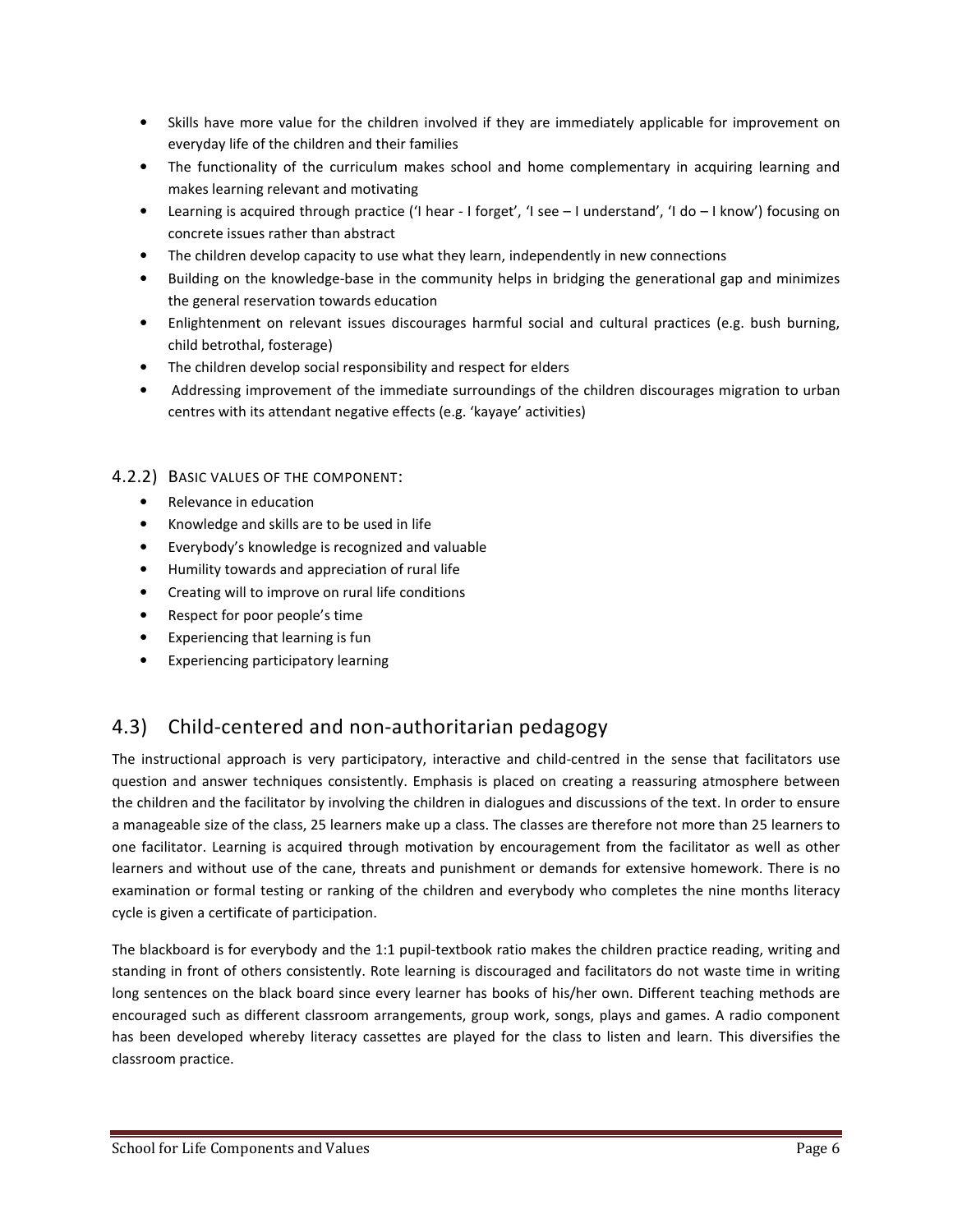- Skills have more value for the children involved if they are immediately applicable for improvement on everyday life of the children and their families
- The functionality of the curriculum makes school and home complementary in acquiring learning and makes learning relevant and motivating
- Learning is acquired through practice ('I hear I forget', 'I see I understand', 'I do I know') focusing on concrete issues rather than abstract
- The children develop capacity to use what they learn, independently in new connections
- Building on the knowledge-base in the community helps in bridging the generational gap and minimizes the general reservation towards education
- Enlightenment on relevant issues discourages harmful social and cultural practices (e.g. bush burning, child betrothal, fosterage)
- The children develop social responsibility and respect for elders
- Addressing improvement of the immediate surroundings of the children discourages migration to urban centres with its attendant negative effects (e.g. 'kayaye' activities)

#### 4.2.2) BASIC VALUES OF THE COMPONENT:

- Relevance in education
- Knowledge and skills are to be used in life
- Everybody's knowledge is recognized and valuable
- Humility towards and appreciation of rural life
- Creating will to improve on rural life conditions
- Respect for poor people's time
- Experiencing that learning is fun
- Experiencing participatory learning

# 4.3) Child-centered and non-authoritarian pedagogy

The instructional approach is very participatory, interactive and child-centred in the sense that facilitators use question and answer techniques consistently. Emphasis is placed on creating a reassuring atmosphere between the children and the facilitator by involving the children in dialogues and discussions of the text. In order to ensure a manageable size of the class, 25 learners make up a class. The classes are therefore not more than 25 learners to one facilitator. Learning is acquired through motivation by encouragement from the facilitator as well as other learners and without use of the cane, threats and punishment or demands for extensive homework. There is no examination or formal testing or ranking of the children and everybody who completes the nine months literacy cycle is given a certificate of participation.

The blackboard is for everybody and the 1:1 pupil-textbook ratio makes the children practice reading, writing and standing in front of others consistently. Rote learning is discouraged and facilitators do not waste time in writing long sentences on the black board since every learner has books of his/her own. Different teaching methods are encouraged such as different classroom arrangements, group work, songs, plays and games. A radio component has been developed whereby literacy cassettes are played for the class to listen and learn. This diversifies the classroom practice.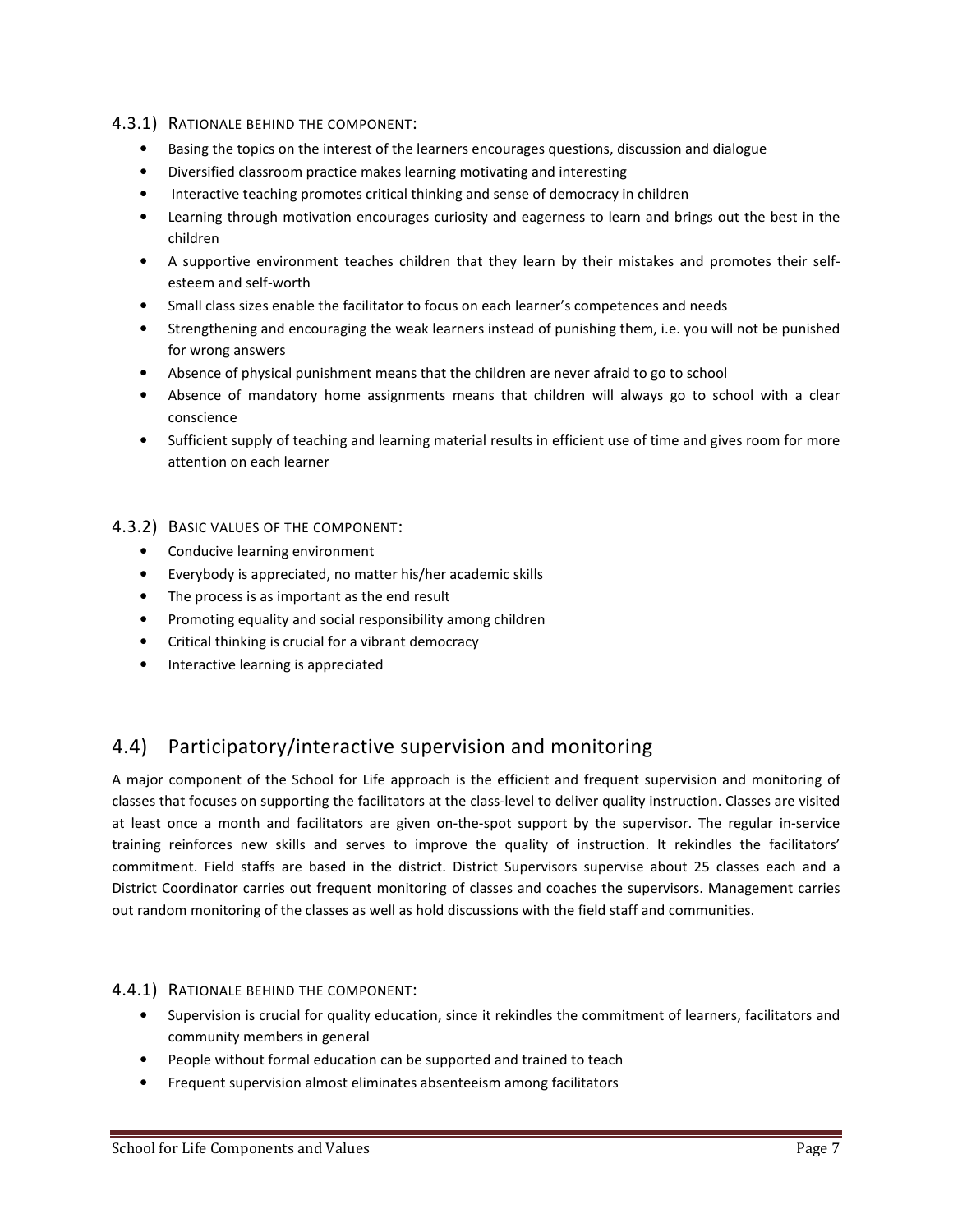#### 4.3.1) RATIONALE BEHIND THE COMPONENT:

- Basing the topics on the interest of the learners encourages questions, discussion and dialogue
- Diversified classroom practice makes learning motivating and interesting
- Interactive teaching promotes critical thinking and sense of democracy in children
- Learning through motivation encourages curiosity and eagerness to learn and brings out the best in the children
- A supportive environment teaches children that they learn by their mistakes and promotes their selfesteem and self-worth
- Small class sizes enable the facilitator to focus on each learner's competences and needs
- Strengthening and encouraging the weak learners instead of punishing them, i.e. you will not be punished for wrong answers
- Absence of physical punishment means that the children are never afraid to go to school
- Absence of mandatory home assignments means that children will always go to school with a clear conscience
- Sufficient supply of teaching and learning material results in efficient use of time and gives room for more attention on each learner

#### 4.3.2) BASIC VALUES OF THE COMPONENT:

- Conducive learning environment
- Everybody is appreciated, no matter his/her academic skills
- The process is as important as the end result
- Promoting equality and social responsibility among children
- Critical thinking is crucial for a vibrant democracy
- Interactive learning is appreciated

# 4.4) Participatory/interactive supervision and monitoring

A major component of the School for Life approach is the efficient and frequent supervision and monitoring of classes that focuses on supporting the facilitators at the class-level to deliver quality instruction. Classes are visited at least once a month and facilitators are given on-the-spot support by the supervisor. The regular in-service training reinforces new skills and serves to improve the quality of instruction. It rekindles the facilitators' commitment. Field staffs are based in the district. District Supervisors supervise about 25 classes each and a District Coordinator carries out frequent monitoring of classes and coaches the supervisors. Management carries out random monitoring of the classes as well as hold discussions with the field staff and communities.

#### 4.4.1) RATIONALE BEHIND THE COMPONENT:

- Supervision is crucial for quality education, since it rekindles the commitment of learners, facilitators and community members in general
- People without formal education can be supported and trained to teach
- Frequent supervision almost eliminates absenteeism among facilitators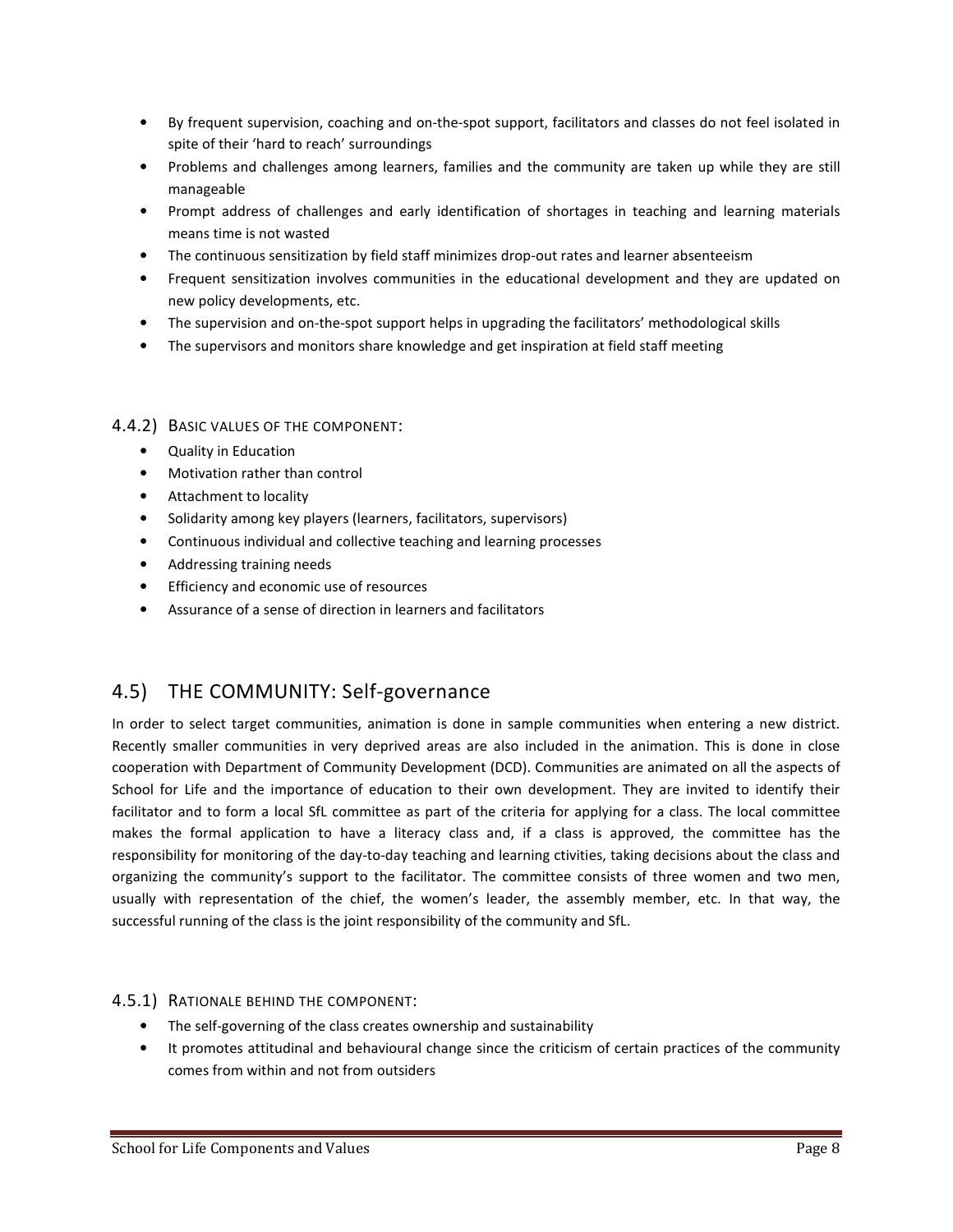- By frequent supervision, coaching and on-the-spot support, facilitators and classes do not feel isolated in spite of their 'hard to reach' surroundings
- Problems and challenges among learners, families and the community are taken up while they are still manageable
- Prompt address of challenges and early identification of shortages in teaching and learning materials means time is not wasted
- The continuous sensitization by field staff minimizes drop-out rates and learner absenteeism
- Frequent sensitization involves communities in the educational development and they are updated on new policy developments, etc.
- The supervision and on-the-spot support helps in upgrading the facilitators' methodological skills
- The supervisors and monitors share knowledge and get inspiration at field staff meeting

#### 4.4.2) BASIC VALUES OF THE COMPONENT:

- Quality in Education
- Motivation rather than control
- Attachment to locality
- Solidarity among key players (learners, facilitators, supervisors)
- Continuous individual and collective teaching and learning processes
- Addressing training needs
- Efficiency and economic use of resources
- Assurance of a sense of direction in learners and facilitators

# 4.5) THE COMMUNITY: Self-governance

In order to select target communities, animation is done in sample communities when entering a new district. Recently smaller communities in very deprived areas are also included in the animation. This is done in close cooperation with Department of Community Development (DCD). Communities are animated on all the aspects of School for Life and the importance of education to their own development. They are invited to identify their facilitator and to form a local SfL committee as part of the criteria for applying for a class. The local committee makes the formal application to have a literacy class and, if a class is approved, the committee has the responsibility for monitoring of the day-to-day teaching and learning ctivities, taking decisions about the class and organizing the community's support to the facilitator. The committee consists of three women and two men, usually with representation of the chief, the women's leader, the assembly member, etc. In that way, the successful running of the class is the joint responsibility of the community and SfL.

#### 4.5.1) RATIONALE BEHIND THE COMPONENT:

- The self-governing of the class creates ownership and sustainability
- It promotes attitudinal and behavioural change since the criticism of certain practices of the community comes from within and not from outsiders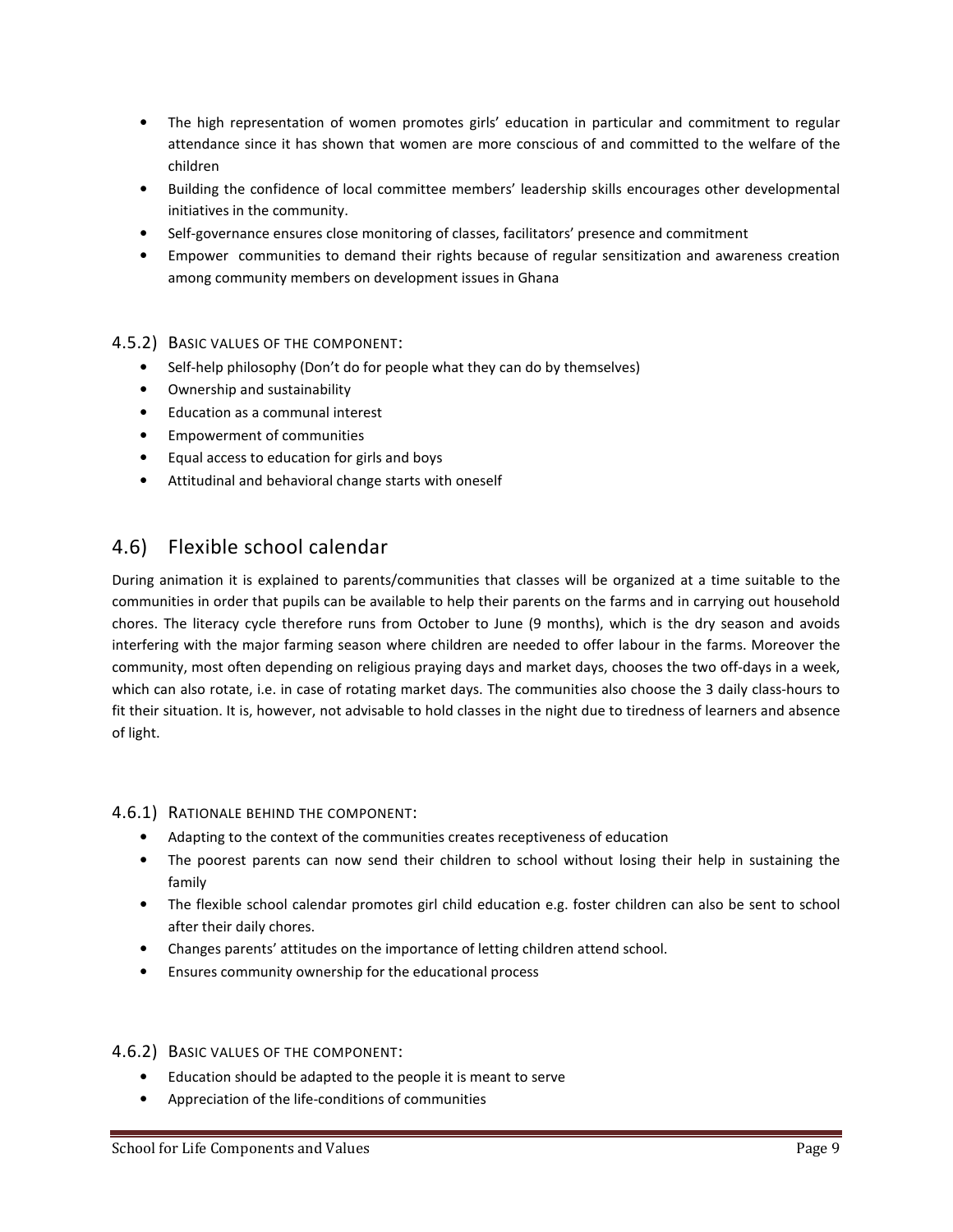- The high representation of women promotes girls' education in particular and commitment to regular attendance since it has shown that women are more conscious of and committed to the welfare of the children
- Building the confidence of local committee members' leadership skills encourages other developmental initiatives in the community.
- Self-governance ensures close monitoring of classes, facilitators' presence and commitment
- Empower communities to demand their rights because of regular sensitization and awareness creation among community members on development issues in Ghana

#### 4.5.2) BASIC VALUES OF THE COMPONENT:

- Self-help philosophy (Don't do for people what they can do by themselves)
- Ownership and sustainability
- Education as a communal interest
- Empowerment of communities
- Equal access to education for girls and boys
- Attitudinal and behavioral change starts with oneself

### 4.6) Flexible school calendar

During animation it is explained to parents/communities that classes will be organized at a time suitable to the communities in order that pupils can be available to help their parents on the farms and in carrying out household chores. The literacy cycle therefore runs from October to June (9 months), which is the dry season and avoids interfering with the major farming season where children are needed to offer labour in the farms. Moreover the community, most often depending on religious praying days and market days, chooses the two off-days in a week, which can also rotate, i.e. in case of rotating market days. The communities also choose the 3 daily class-hours to fit their situation. It is, however, not advisable to hold classes in the night due to tiredness of learners and absence of light.

#### 4.6.1) RATIONALE BEHIND THE COMPONENT:

- Adapting to the context of the communities creates receptiveness of education
- The poorest parents can now send their children to school without losing their help in sustaining the family
- The flexible school calendar promotes girl child education e.g. foster children can also be sent to school after their daily chores.
- Changes parents' attitudes on the importance of letting children attend school.
- Ensures community ownership for the educational process

#### 4.6.2) BASIC VALUES OF THE COMPONENT:

- Education should be adapted to the people it is meant to serve
- Appreciation of the life-conditions of communities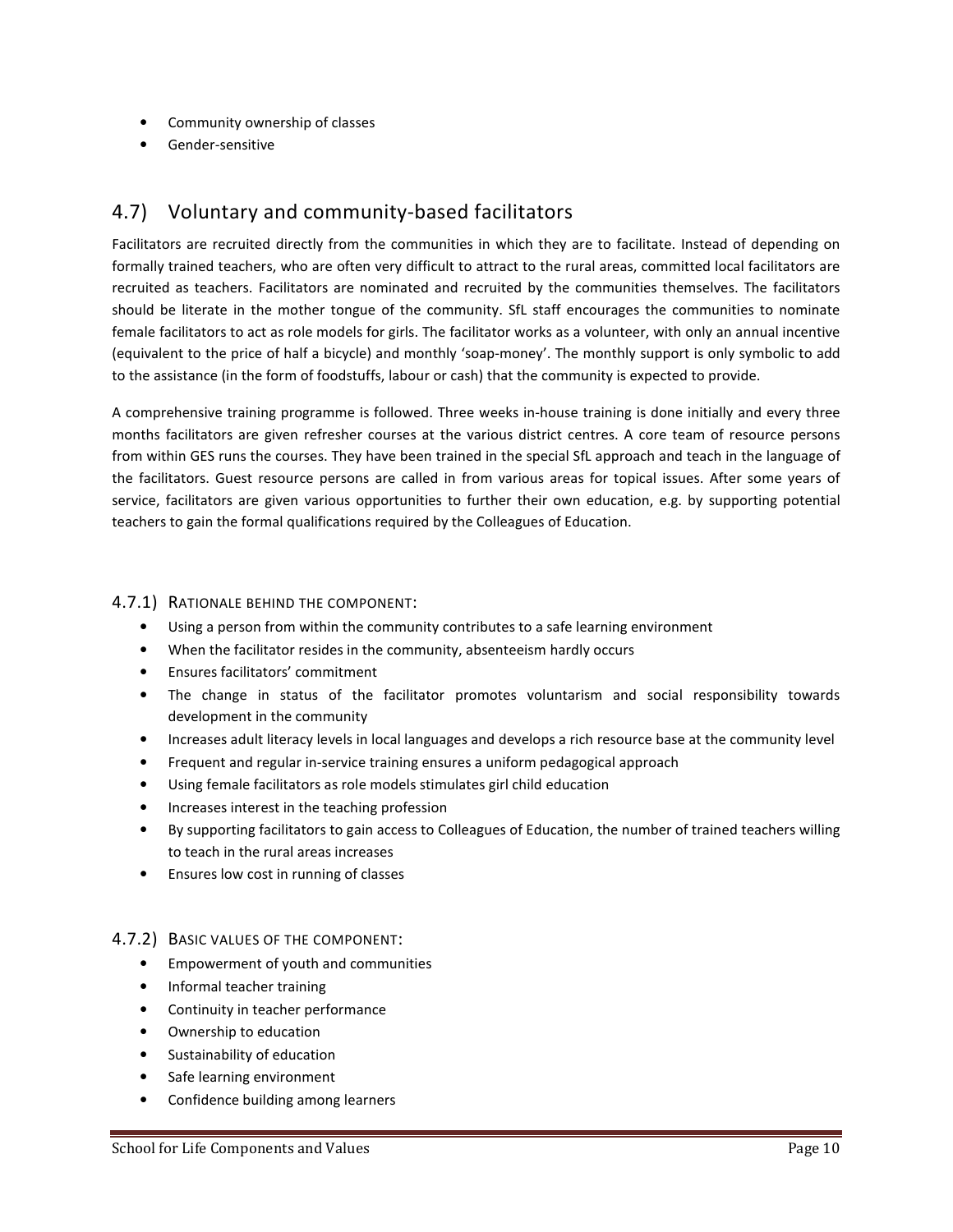- Community ownership of classes
- Gender-sensitive

## 4.7) Voluntary and community-based facilitators

Facilitators are recruited directly from the communities in which they are to facilitate. Instead of depending on formally trained teachers, who are often very difficult to attract to the rural areas, committed local facilitators are recruited as teachers. Facilitators are nominated and recruited by the communities themselves. The facilitators should be literate in the mother tongue of the community. SfL staff encourages the communities to nominate female facilitators to act as role models for girls. The facilitator works as a volunteer, with only an annual incentive (equivalent to the price of half a bicycle) and monthly 'soap-money'. The monthly support is only symbolic to add to the assistance (in the form of foodstuffs, labour or cash) that the community is expected to provide.

A comprehensive training programme is followed. Three weeks in-house training is done initially and every three months facilitators are given refresher courses at the various district centres. A core team of resource persons from within GES runs the courses. They have been trained in the special SfL approach and teach in the language of the facilitators. Guest resource persons are called in from various areas for topical issues. After some years of service, facilitators are given various opportunities to further their own education, e.g. by supporting potential teachers to gain the formal qualifications required by the Colleagues of Education.

#### 4.7.1) RATIONALE BEHIND THE COMPONENT:

- Using a person from within the community contributes to a safe learning environment
- When the facilitator resides in the community, absenteeism hardly occurs
- Ensures facilitators' commitment
- The change in status of the facilitator promotes voluntarism and social responsibility towards development in the community
- Increases adult literacy levels in local languages and develops a rich resource base at the community level
- Frequent and regular in-service training ensures a uniform pedagogical approach
- Using female facilitators as role models stimulates girl child education
- Increases interest in the teaching profession
- By supporting facilitators to gain access to Colleagues of Education, the number of trained teachers willing to teach in the rural areas increases
- Ensures low cost in running of classes

#### 4.7.2) BASIC VALUES OF THE COMPONENT:

- Empowerment of youth and communities
- Informal teacher training
- Continuity in teacher performance
- Ownership to education
- Sustainability of education
- Safe learning environment
- Confidence building among learners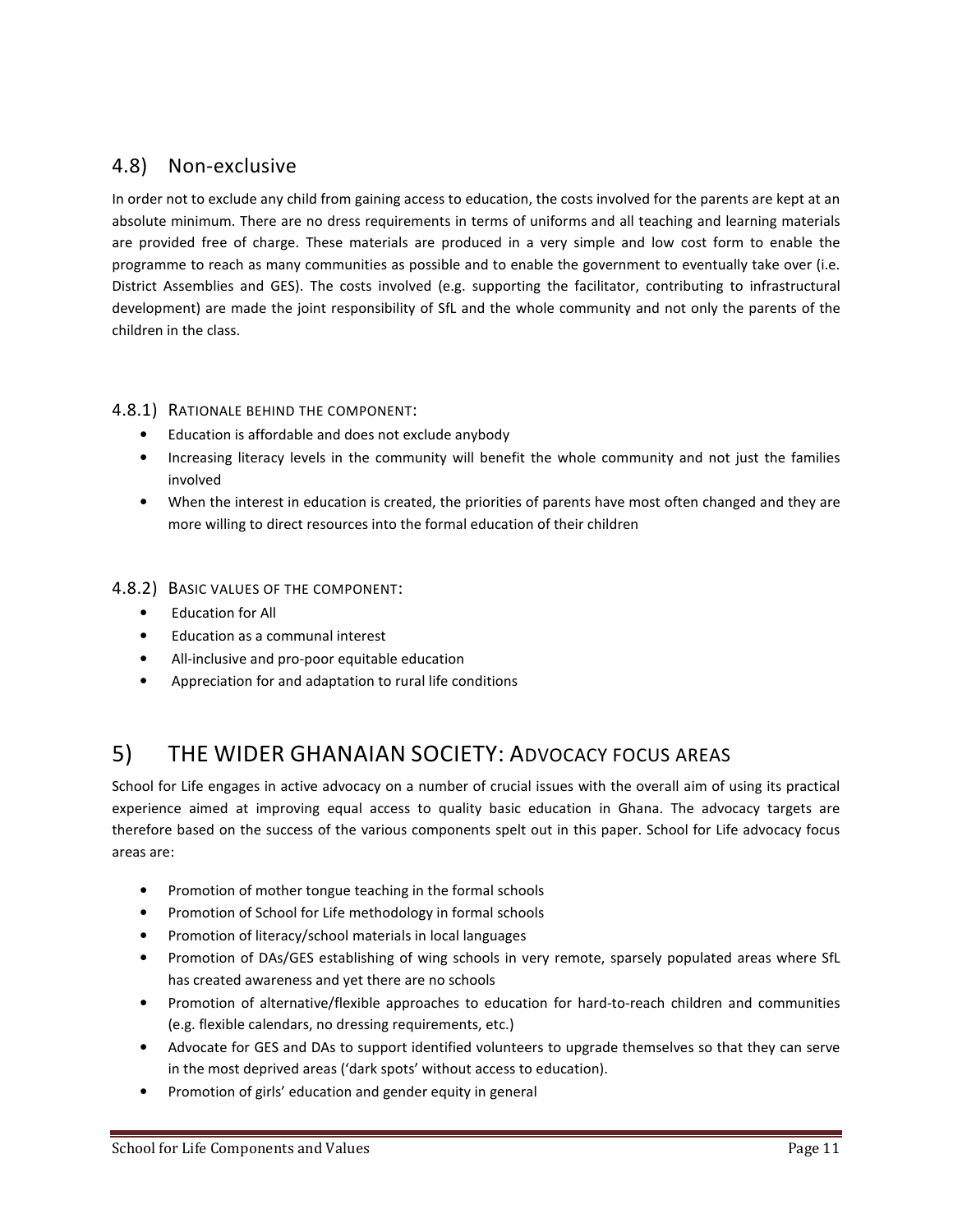# 4.8) Non-exclusive

In order not to exclude any child from gaining access to education, the costs involved for the parents are kept at an absolute minimum. There are no dress requirements in terms of uniforms and all teaching and learning materials are provided free of charge. These materials are produced in a very simple and low cost form to enable the programme to reach as many communities as possible and to enable the government to eventually take over (i.e. District Assemblies and GES). The costs involved (e.g. supporting the facilitator, contributing to infrastructural development) are made the joint responsibility of SfL and the whole community and not only the parents of the children in the class.

#### 4.8.1) RATIONALE BEHIND THE COMPONENT:

- Education is affordable and does not exclude anybody
- Increasing literacy levels in the community will benefit the whole community and not just the families involved
- When the interest in education is created, the priorities of parents have most often changed and they are more willing to direct resources into the formal education of their children

#### 4.8.2) BASIC VALUES OF THE COMPONENT:

- Education for All
- Education as a communal interest
- All-inclusive and pro-poor equitable education
- Appreciation for and adaptation to rural life conditions

# 5) THE WIDER GHANAIAN SOCIETY: ADVOCACY FOCUS AREAS

School for Life engages in active advocacy on a number of crucial issues with the overall aim of using its practical experience aimed at improving equal access to quality basic education in Ghana. The advocacy targets are therefore based on the success of the various components spelt out in this paper. School for Life advocacy focus areas are:

- Promotion of mother tongue teaching in the formal schools
- Promotion of School for Life methodology in formal schools
- Promotion of literacy/school materials in local languages
- Promotion of DAs/GES establishing of wing schools in very remote, sparsely populated areas where SfL has created awareness and yet there are no schools
- Promotion of alternative/flexible approaches to education for hard-to-reach children and communities (e.g. flexible calendars, no dressing requirements, etc.)
- Advocate for GES and DAs to support identified volunteers to upgrade themselves so that they can serve in the most deprived areas ('dark spots' without access to education).
- Promotion of girls' education and gender equity in general